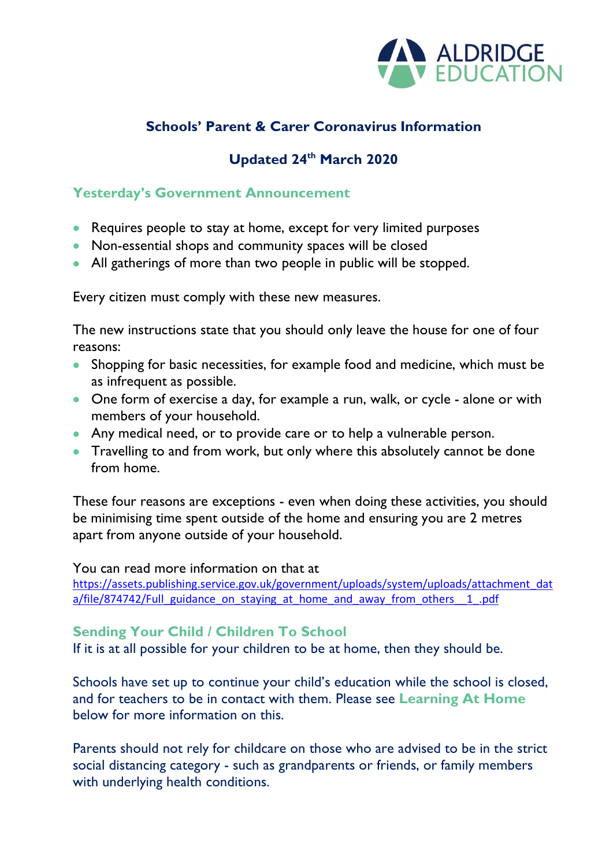

## **Schools' Parent & Carer Coronavirus Information**

# **Updated 24th March 2020**

#### **Yesterday's Government Announcement**

- Requires people to stay at home, except for very limited purposes
- Non-essential shops and community spaces will be closed
- All gatherings of more than two people in public will be stopped.

Every citizen must comply with these new measures.

The new instructions state that you should only leave the house for one of four reasons:

- Shopping for basic necessities, for example food and medicine, which must be as infrequent as possible.
- One form of exercise a day, for example a run, walk, or cycle alone or with members of your household.
- Any medical need, or to provide care or to help a vulnerable person.
- Travelling to and from work, but only where this absolutely cannot be done from home.

These four reasons are exceptions - even when doing these activities, you should be minimising time spent outside of the home and ensuring you are 2 metres apart from anyone outside of your household.

You can read more information on that at [https://assets.publishing.service.gov.uk/government/uploads/system/uploads/attachment\\_dat](https://assets.publishing.service.gov.uk/government/uploads/system/uploads/attachment_data/file/874742/Full_guidance_on_staying_at_home_and_away_from_others__1_.pdf) a/file/874742/Full\_guidance\_on\_staying\_at\_home\_and\_away\_from\_others\_1\_.pdf

#### **Sending Your Child / Children To School**

If it is at all possible for your children to be at home, then they should be.

Schools have set up to continue your child's education while the school is closed, and for teachers to be in contact with them. Please see **Learning At Home**  below for more information on this.

Parents should not rely for childcare on those who are advised to be in the strict social distancing category - such as grandparents or friends, or family members with underlying health conditions.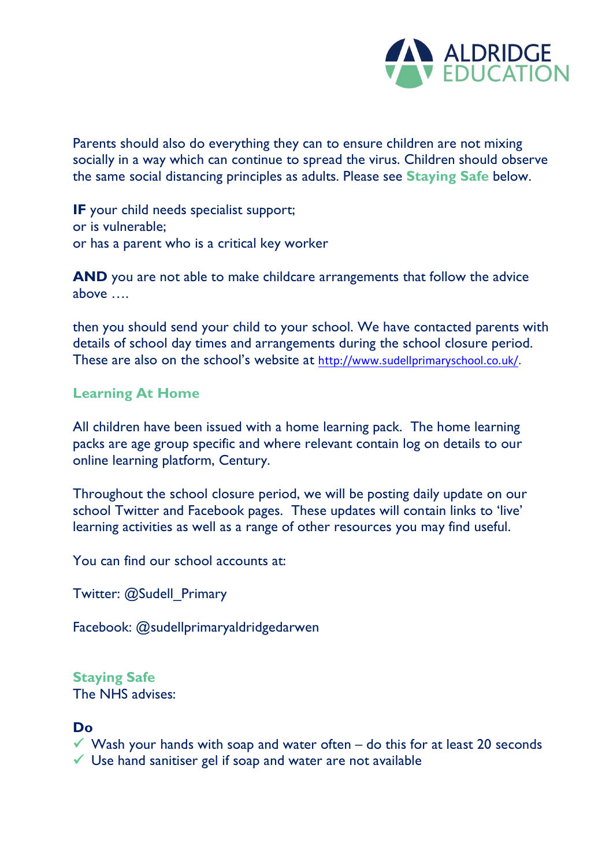

Parents should also do everything they can to ensure children are not mixing socially in a way which can continue to spread the virus. Children should observe the same social distancing principles as adults. Please see **Staying Safe** below.

**IF** your child needs specialist support; or is vulnerable; or has a parent who is a critical key worker

**AND** you are not able to make childcare arrangements that follow the advice above ….

then you should send your child to your school. We have contacted parents with details of school day times and arrangements during the school closure period. These are also on the school's website at [http://www.sudellprimaryschool.co.uk/.](http://www.sudellprimaryschool.co.uk/)

#### **Learning At Home**

All children have been issued with a home learning pack. The home learning packs are age group specific and where relevant contain log on details to our online learning platform, Century.

Throughout the school closure period, we will be posting daily update on our school Twitter and Facebook pages. These updates will contain links to 'live' learning activities as well as a range of other resources you may find useful.

You can find our school accounts at:

Twitter: @Sudell\_Primary

Facebook: @sudellprimaryaldridgedarwen

## **Staying Safe**

The NHS advises:

#### **Do**

 $\checkmark$  Wash your hands with soap and water often – do this for at least 20 seconds  $\checkmark$  Use hand sanitiser gel if soap and water are not available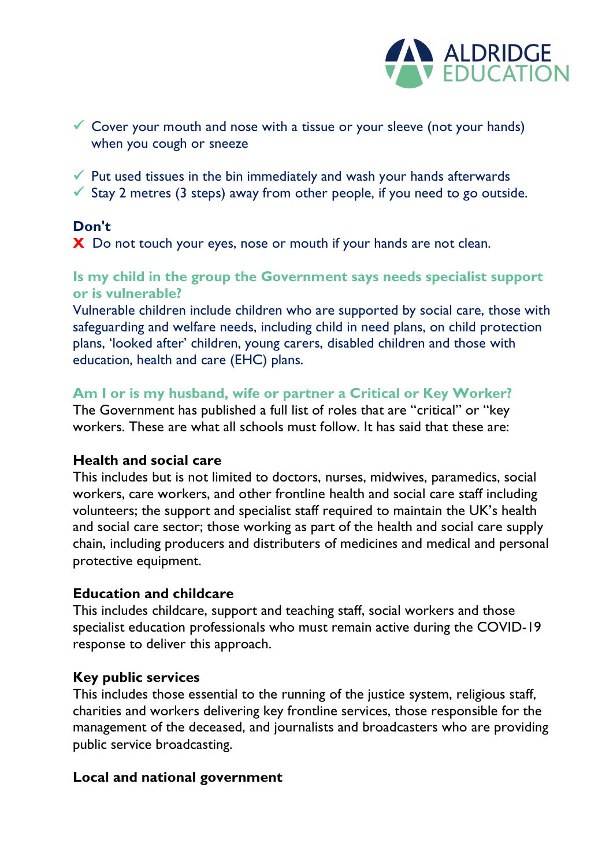

- $\checkmark$  Cover your mouth and nose with a tissue or your sleeve (not your hands) when you cough or sneeze
- $\checkmark$  Put used tissues in the bin immediately and wash your hands afterwards
- $\checkmark$  Stay 2 metres (3 steps) away from other people, if you need to go outside.

## **Don't**

**X** Do not touch your eyes, nose or mouth if your hands are not clean.

#### **Is my child in the group the Government says needs specialist support or is vulnerable?**

Vulnerable children include children who are supported by social care, those with safeguarding and welfare needs, including child in need plans, on child protection plans, 'looked after' children, young carers, disabled children and those with education, health and care (EHC) plans.

#### **Am I or is my husband, wife or partner a Critical or Key Worker?**

The Government has published a full list of roles that are "critical" or "key workers. These are what all schools must follow. It has said that these are:

#### **Health and social care**

This includes but is not limited to doctors, nurses, midwives, paramedics, social workers, care workers, and other frontline health and social care staff including volunteers; the support and specialist staff required to maintain the UK's health and social care sector; those working as part of the health and social care supply chain, including producers and distributers of medicines and medical and personal protective equipment.

#### **Education and childcare**

This includes childcare, support and teaching staff, social workers and those specialist education professionals who must remain active during the COVID-19 response to deliver this approach.

## **Key public services**

This includes those essential to the running of the justice system, religious staff, charities and workers delivering key frontline services, those responsible for the management of the deceased, and journalists and broadcasters who are providing public service broadcasting.

#### **Local and national government**